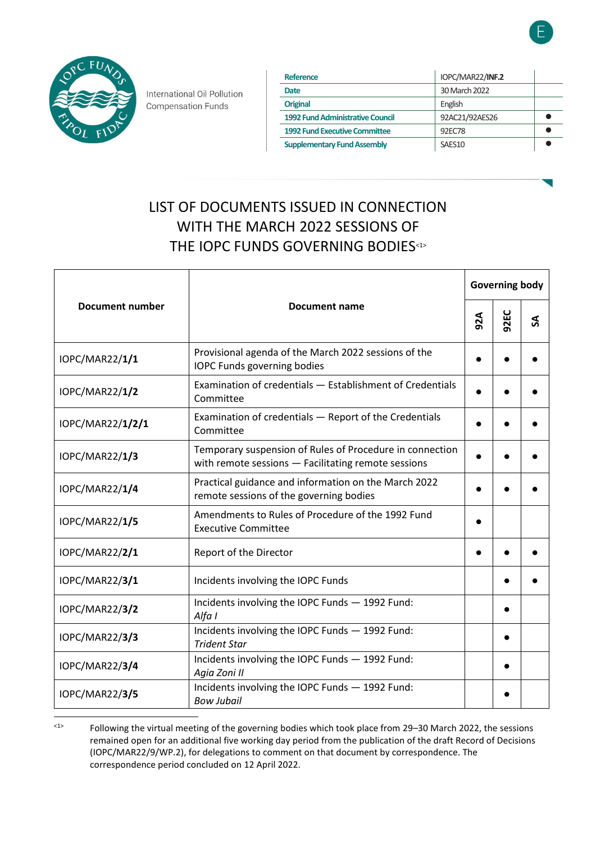



International Oil Pollution **Compensation Funds** 

| Reference                               | IOPC/MAR22/INF.2   |  |
|-----------------------------------------|--------------------|--|
| Date                                    | 30 March 2022      |  |
| <b>Original</b>                         | English            |  |
| <b>1992 Fund Administrative Council</b> | 92AC21/92AES26     |  |
| <b>1992 Fund Executive Committee</b>    | 92FC78             |  |
| <b>Supplementary Fund Assembly</b>      | SAES <sub>10</sub> |  |

# LIST OF DOCUMENTS ISSUED IN CONNECTION WITH THE MARCH 2022 SESSIONS OF THE IOPC FUNDS GOVERNING BODIES<sup>43</sup>

| <b>Document number</b> | Document name                                                                                                   | <b>Governing body</b> |      |   |
|------------------------|-----------------------------------------------------------------------------------------------------------------|-----------------------|------|---|
|                        |                                                                                                                 | 92A                   | 92EC | S |
| IOPC/MAR22/1/1         | Provisional agenda of the March 2022 sessions of the<br><b>IOPC Funds governing bodies</b>                      |                       |      |   |
| IOPC/MAR22/1/2         | Examination of credentials - Establishment of Credentials<br>Committee                                          |                       |      |   |
| IOPC/MAR22/1/2/1       | Examination of credentials - Report of the Credentials<br>Committee                                             |                       |      |   |
| IOPC/MAR22/1/3         | Temporary suspension of Rules of Procedure in connection<br>with remote sessions - Facilitating remote sessions |                       |      |   |
| IOPC/MAR22/1/4         | Practical guidance and information on the March 2022<br>remote sessions of the governing bodies                 |                       |      |   |
| IOPC/MAR22/1/5         | Amendments to Rules of Procedure of the 1992 Fund<br><b>Executive Committee</b>                                 |                       |      |   |
| IOPC/MAR22/2/1         | Report of the Director                                                                                          |                       |      |   |
| IOPC/MAR22/3/1         | Incidents involving the IOPC Funds                                                                              |                       |      |   |
| <b>IOPC/MAR22/3/2</b>  | Incidents involving the IOPC Funds - 1992 Fund:<br>Alfa I                                                       |                       |      |   |
| IOPC/MAR22/3/3         | Incidents involving the IOPC Funds - 1992 Fund:<br><b>Trident Star</b>                                          |                       |      |   |
| IOPC/MAR22/3/4         | Incidents involving the IOPC Funds - 1992 Fund:<br>Agia Zoni II                                                 |                       |      |   |
| <b>IOPC/MAR22/3/5</b>  | Incidents involving the IOPC Funds - 1992 Fund:<br><b>Bow Jubail</b>                                            |                       |      |   |

<sup>&</sup>lt;1> Following the virtual meeting of the governing bodies which took place from 29–30 March 2022, the sessions remained open for an additional five working day period from the publication of the draft Record of Decisions (IOPC/MAR22/9/WP.2), for delegations to comment on that document by correspondence. The correspondence period concluded on 12 April 2022.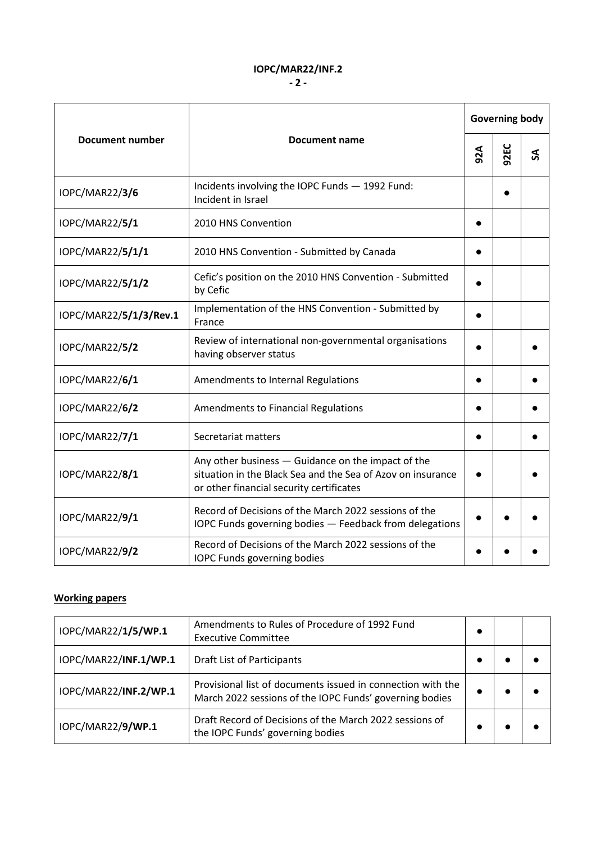#### **IOPC/MAR22/INF.2**

| <b>Document number</b> | <b>Document name</b>                                                                                                                                          | <b>Governing body</b> |      |   |
|------------------------|---------------------------------------------------------------------------------------------------------------------------------------------------------------|-----------------------|------|---|
|                        |                                                                                                                                                               | 92A                   | 92EC | S |
| IOPC/MAR22/3/6         | Incidents involving the IOPC Funds - 1992 Fund:<br>Incident in Israel                                                                                         |                       |      |   |
| IOPC/MAR22/5/1         | 2010 HNS Convention                                                                                                                                           |                       |      |   |
| IOPC/MAR22/5/1/1       | 2010 HNS Convention - Submitted by Canada                                                                                                                     |                       |      |   |
| IOPC/MAR22/5/1/2       | Cefic's position on the 2010 HNS Convention - Submitted<br>by Cefic                                                                                           |                       |      |   |
| IOPC/MAR22/5/1/3/Rev.1 | Implementation of the HNS Convention - Submitted by<br>France                                                                                                 |                       |      |   |
| <b>IOPC/MAR22/5/2</b>  | Review of international non-governmental organisations<br>having observer status                                                                              |                       |      |   |
| IOPC/MAR22/6/1         | Amendments to Internal Regulations                                                                                                                            |                       |      |   |
| <b>IOPC/MAR22/6/2</b>  | <b>Amendments to Financial Regulations</b>                                                                                                                    |                       |      |   |
| IOPC/MAR22/7/1         | Secretariat matters                                                                                                                                           |                       |      |   |
| IOPC/MAR22/8/1         | Any other business - Guidance on the impact of the<br>situation in the Black Sea and the Sea of Azov on insurance<br>or other financial security certificates |                       |      |   |
| IOPC/MAR22/9/1         | Record of Decisions of the March 2022 sessions of the<br>IOPC Funds governing bodies - Feedback from delegations                                              |                       |      |   |
| <b>IOPC/MAR22/9/2</b>  | Record of Decisions of the March 2022 sessions of the<br><b>IOPC Funds governing bodies</b>                                                                   |                       |      |   |

### **Working papers**

| IOPC/MAR22/1/5/WP.1   | Amendments to Rules of Procedure of 1992 Fund<br><b>Executive Committee</b>                                            | $\bullet$ |  |
|-----------------------|------------------------------------------------------------------------------------------------------------------------|-----------|--|
| IOPC/MAR22/INF.1/WP.1 | <b>Draft List of Participants</b>                                                                                      |           |  |
| IOPC/MAR22/INF.2/WP.1 | Provisional list of documents issued in connection with the<br>March 2022 sessions of the IOPC Funds' governing bodies |           |  |
| IOPC/MAR22/9/WP.1     | Draft Record of Decisions of the March 2022 sessions of<br>the IOPC Funds' governing bodies                            |           |  |